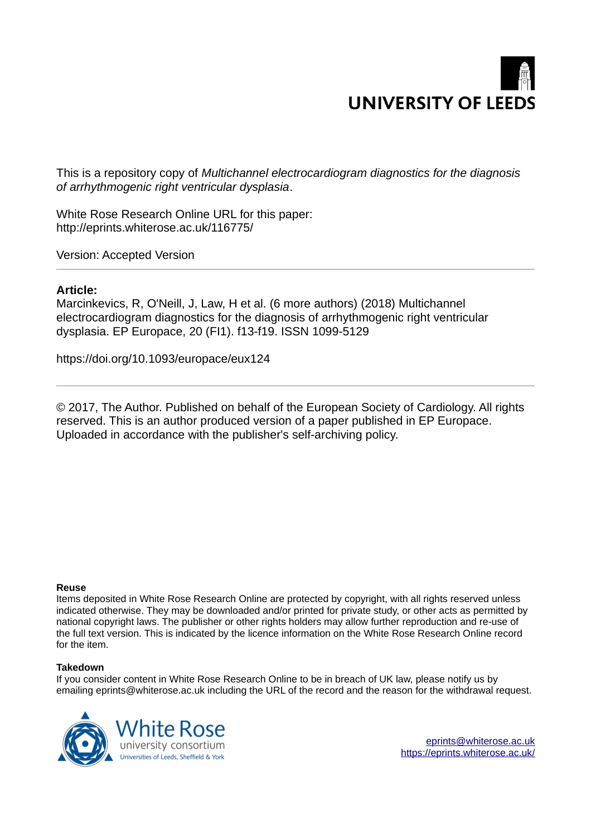

This is a repository copy of *Multichannel electrocardiogram diagnostics for the diagnosis of arrhythmogenic right ventricular dysplasia*.

White Rose Research Online URL for this paper: http://eprints.whiterose.ac.uk/116775/

Version: Accepted Version

#### **Article:**

Marcinkevics, R, O'Neill, J, Law, H et al. (6 more authors) (2018) Multichannel electrocardiogram diagnostics for the diagnosis of arrhythmogenic right ventricular dysplasia. EP Europace, 20 (FI1). f13-f19. ISSN 1099-5129

https://doi.org/10.1093/europace/eux124

© 2017, The Author. Published on behalf of the European Society of Cardiology. All rights reserved. This is an author produced version of a paper published in EP Europace. Uploaded in accordance with the publisher's self-archiving policy.

#### **Reuse**

Items deposited in White Rose Research Online are protected by copyright, with all rights reserved unless indicated otherwise. They may be downloaded and/or printed for private study, or other acts as permitted by national copyright laws. The publisher or other rights holders may allow further reproduction and re-use of the full text version. This is indicated by the licence information on the White Rose Research Online record for the item.

#### **Takedown**

If you consider content in White Rose Research Online to be in breach of UK law, please notify us by emailing eprints@whiterose.ac.uk including the URL of the record and the reason for the withdrawal request.



[eprints@whiterose.ac.uk](mailto:eprints@whiterose.ac.uk) <https://eprints.whiterose.ac.uk/>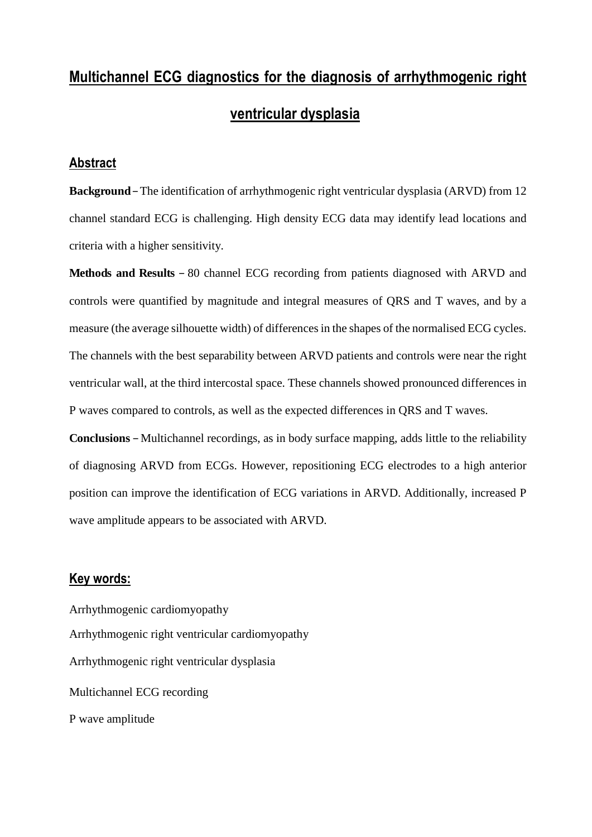# **Multichannel ECG diagnostics for the diagnosis of arrhythmogenic right ventricular dysplasia**

### **Abstract**

**Background –** The identification of arrhythmogenic right ventricular dysplasia (ARVD) from 12 channel standard ECG is challenging. High density ECG data may identify lead locations and criteria with a higher sensitivity.

**Methods and Results –** 80 channel ECG recording from patients diagnosed with ARVD and controls were quantified by magnitude and integral measures of QRS and T waves, and by a measure (the average silhouette width) of differences in the shapes of the normalised ECG cycles. The channels with the best separability between ARVD patients and controls were near the right ventricular wall, at the third intercostal space. These channels showed pronounced differences in P waves compared to controls, as well as the expected differences in QRS and T waves.

**Conclusions –** Multichannel recordings, as in body surface mapping, adds little to the reliability of diagnosing ARVD from ECGs. However, repositioning ECG electrodes to a high anterior position can improve the identification of ECG variations in ARVD. Additionally, increased P wave amplitude appears to be associated with ARVD.

#### **Key words:**

Arrhythmogenic cardiomyopathy Arrhythmogenic right ventricular cardiomyopathy Arrhythmogenic right ventricular dysplasia Multichannel ECG recording P wave amplitude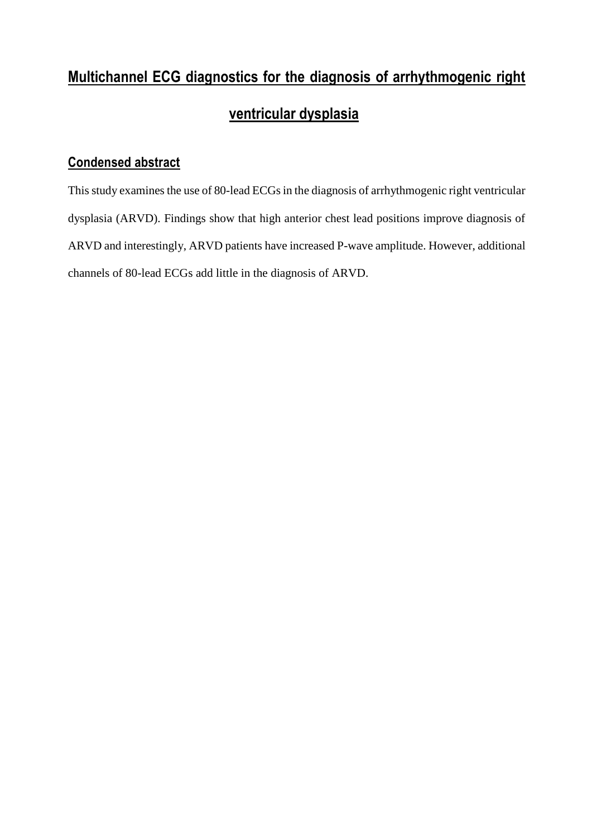# **Multichannel ECG diagnostics for the diagnosis of arrhythmogenic right ventricular dysplasia**

### **Condensed abstract**

This study examines the use of 80-lead ECGs in the diagnosis of arrhythmogenic right ventricular dysplasia (ARVD). Findings show that high anterior chest lead positions improve diagnosis of ARVD and interestingly, ARVD patients have increased P-wave amplitude. However, additional channels of 80-lead ECGs add little in the diagnosis of ARVD.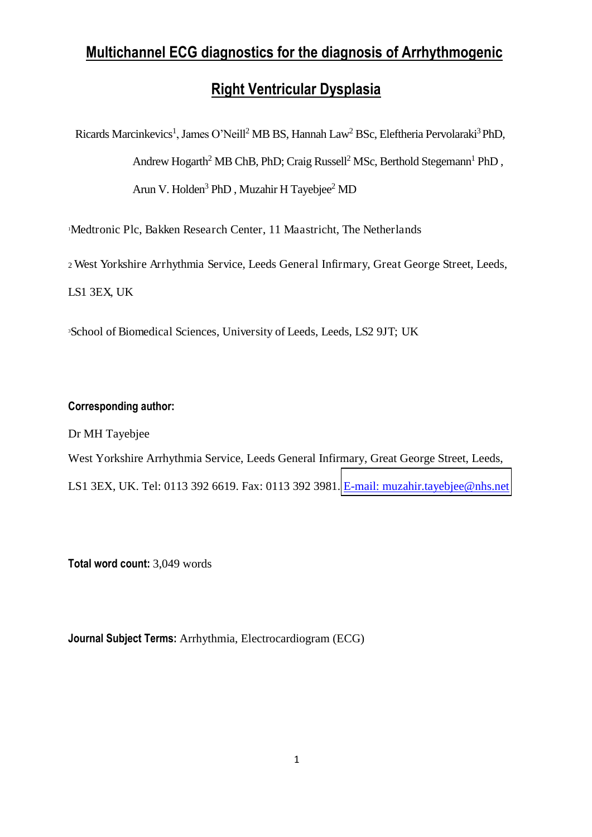## **Multichannel ECG diagnostics for the diagnosis of Arrhythmogenic**

## **Right Ventricular Dysplasia**

Ricards Marcinkevics<sup>1</sup>, James O'Neill<sup>2</sup> MB BS, Hannah Law<sup>2</sup> BSc, Eleftheria Pervolaraki<sup>3</sup> PhD, Andrew Hogarth<sup>2</sup> MB ChB, PhD; Craig Russell<sup>2</sup> MSc, Berthold Stegemann<sup>1</sup> PhD, Arun V. Holden<sup>3</sup> PhD, Muzahir H Tayebjee<sup>2</sup> MD

<sup>1</sup>Medtronic Plc, Bakken Research Center, 11 Maastricht, The Netherlands

<sup>2</sup>West Yorkshire Arrhythmia Service, Leeds General Infirmary, Great George Street, Leeds, LS1 3EX, UK

<sup>3</sup>School of Biomedical Sciences, University of Leeds, Leeds, LS2 9JT; UK

#### **Corresponding author:**

Dr MH Tayebjee

West Yorkshire Arrhythmia Service, Leeds General Infirmary, Great George Street, Leeds, LS1 3EX, UK. Tel: 0113 392 6619. Fax: 0113 392 3981. [E-mail: muzahir.tayebjee@nhs.net](mailto:muzahir.tayebjee@nhs.net)

**Total word count:** 3,049 words

**Journal Subject Terms:** Arrhythmia, Electrocardiogram (ECG)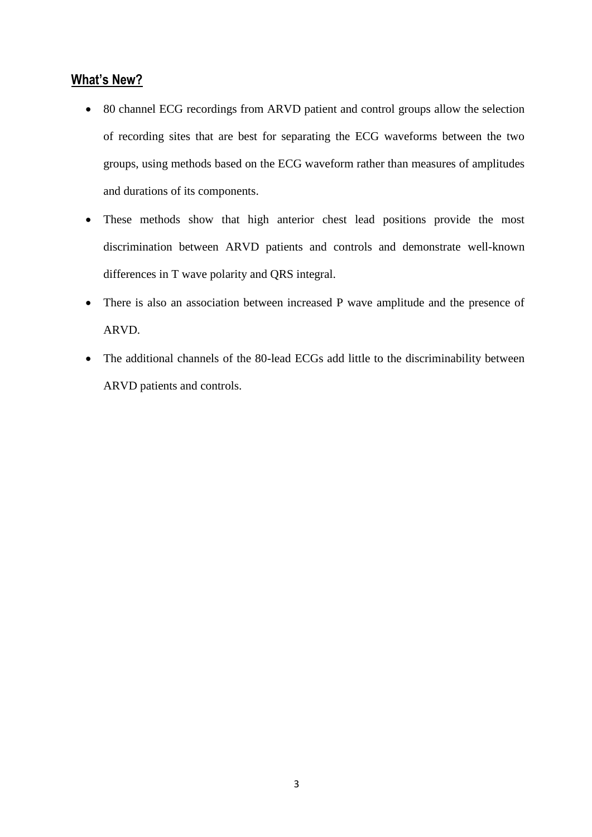#### **What's New?**

- 80 channel ECG recordings from ARVD patient and control groups allow the selection of recording sites that are best for separating the ECG waveforms between the two groups, using methods based on the ECG waveform rather than measures of amplitudes and durations of its components.
- These methods show that high anterior chest lead positions provide the most discrimination between ARVD patients and controls and demonstrate well-known differences in T wave polarity and QRS integral.
- There is also an association between increased P wave amplitude and the presence of ARVD.
- The additional channels of the 80-lead ECGs add little to the discriminability between ARVD patients and controls.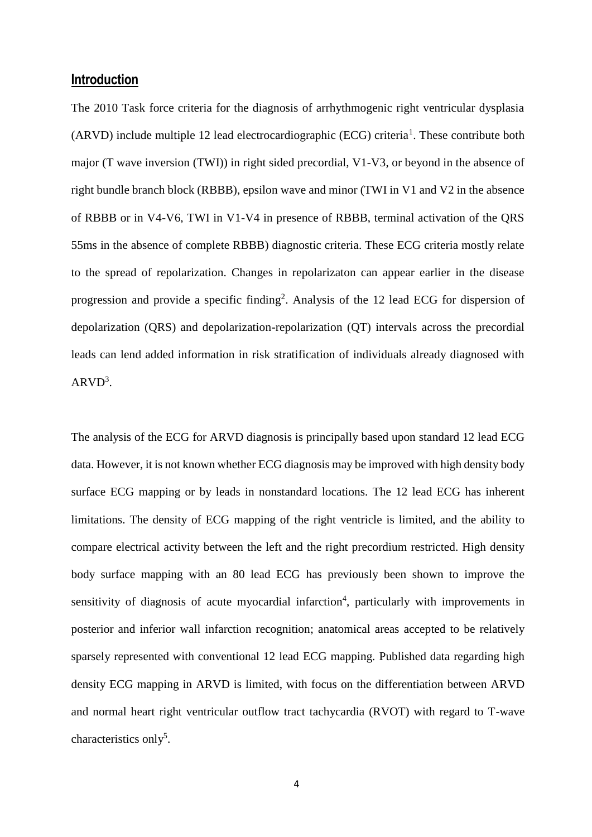#### **Introduction**

The 2010 Task force criteria for the diagnosis of arrhythmogenic right ventricular dysplasia  $(ARVD)$  include multiple 12 lead electrocardiographic  $(ECG)$  criteria<sup>1</sup>. These contribute both major (T wave inversion (TWI)) in right sided precordial, V1-V3, or beyond in the absence of right bundle branch block (RBBB), epsilon wave and minor (TWI in V1 and V2 in the absence of RBBB or in V4-V6, TWI in V1-V4 in presence of RBBB, terminal activation of the QRS 55ms in the absence of complete RBBB) diagnostic criteria. These ECG criteria mostly relate to the spread of repolarization. Changes in repolarizaton can appear earlier in the disease progression and provide a specific finding<sup>2</sup>. Analysis of the 12 lead ECG for dispersion of depolarization (QRS) and depolarization-repolarization (QT) intervals across the precordial leads can lend added information in risk stratification of individuals already diagnosed with  $ARVD<sup>3</sup>$ .

The analysis of the ECG for ARVD diagnosis is principally based upon standard 12 lead ECG data. However, it is not known whether ECG diagnosis may be improved with high density body surface ECG mapping or by leads in nonstandard locations. The 12 lead ECG has inherent limitations. The density of ECG mapping of the right ventricle is limited, and the ability to compare electrical activity between the left and the right precordium restricted. High density body surface mapping with an 80 lead ECG has previously been shown to improve the sensitivity of diagnosis of acute myocardial infarction<sup>4</sup>, particularly with improvements in posterior and inferior wall infarction recognition; anatomical areas accepted to be relatively sparsely represented with conventional 12 lead ECG mapping. Published data regarding high density ECG mapping in ARVD is limited, with focus on the differentiation between ARVD and normal heart right ventricular outflow tract tachycardia (RVOT) with regard to T-wave characteristics only<sup>5</sup>.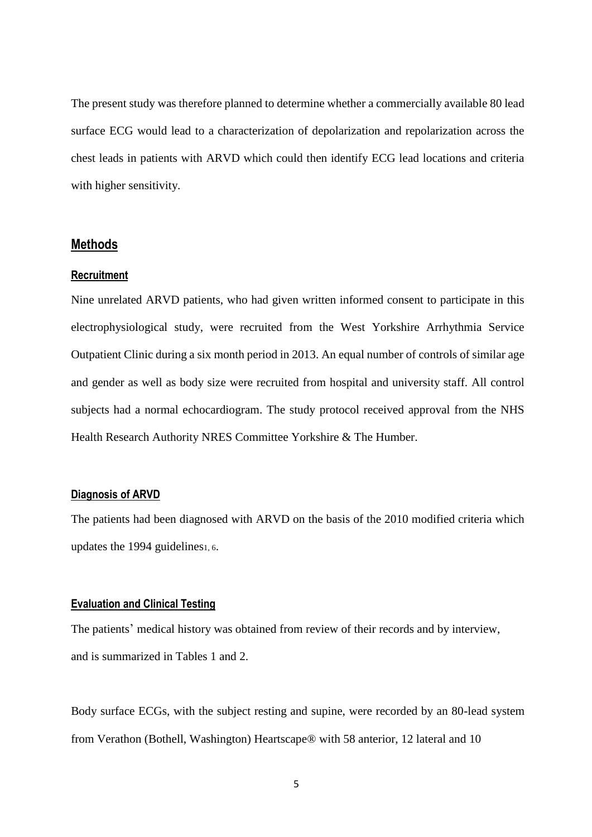The present study was therefore planned to determine whether a commercially available 80 lead surface ECG would lead to a characterization of depolarization and repolarization across the chest leads in patients with ARVD which could then identify ECG lead locations and criteria with higher sensitivity.

#### **Methods**

#### **Recruitment**

Nine unrelated ARVD patients, who had given written informed consent to participate in this electrophysiological study, were recruited from the West Yorkshire Arrhythmia Service Outpatient Clinic during a six month period in 2013. An equal number of controls of similar age and gender as well as body size were recruited from hospital and university staff. All control subjects had a normal echocardiogram. The study protocol received approval from the NHS Health Research Authority NRES Committee Yorkshire & The Humber.

#### **Diagnosis of ARVD**

The patients had been diagnosed with ARVD on the basis of the 2010 modified criteria which updates the 1994 guidelines<sub>1, 6</sub>.

#### **Evaluation and Clinical Testing**

The patients' medical history was obtained from review of their records and by interview, and is summarized in Tables 1 and 2.

Body surface ECGs, with the subject resting and supine, were recorded by an 80-lead system from Verathon (Bothell, Washington) Heartscape® with 58 anterior, 12 lateral and 10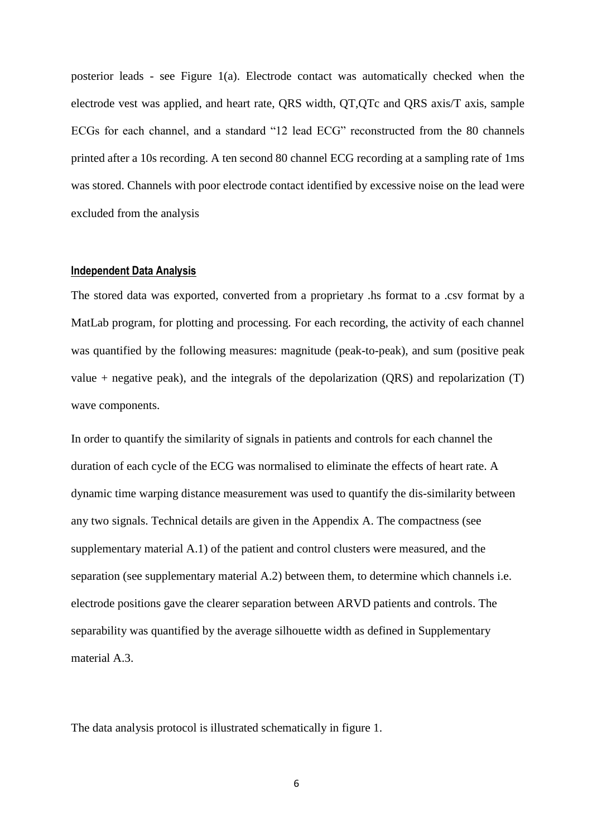posterior leads - see Figure 1(a). Electrode contact was automatically checked when the electrode vest was applied, and heart rate, QRS width, QT,QTc and QRS axis/T axis, sample ECGs for each channel, and a standard "12 lead ECG" reconstructed from the 80 channels printed after a 10s recording. A ten second 80 channel ECG recording at a sampling rate of 1ms was stored. Channels with poor electrode contact identified by excessive noise on the lead were excluded from the analysis

#### **Independent Data Analysis**

The stored data was exported, converted from a proprietary .hs format to a .csv format by a MatLab program, for plotting and processing. For each recording, the activity of each channel was quantified by the following measures: magnitude (peak-to-peak), and sum (positive peak value + negative peak), and the integrals of the depolarization (QRS) and repolarization (T) wave components.

In order to quantify the similarity of signals in patients and controls for each channel the duration of each cycle of the ECG was normalised to eliminate the effects of heart rate. A dynamic time warping distance measurement was used to quantify the dis-similarity between any two signals. Technical details are given in the Appendix A. The compactness (see supplementary material A.1) of the patient and control clusters were measured, and the separation (see supplementary material A.2) between them, to determine which channels i.e. electrode positions gave the clearer separation between ARVD patients and controls. The separability was quantified by the average silhouette width as defined in Supplementary material A.3.

The data analysis protocol is illustrated schematically in figure 1.

6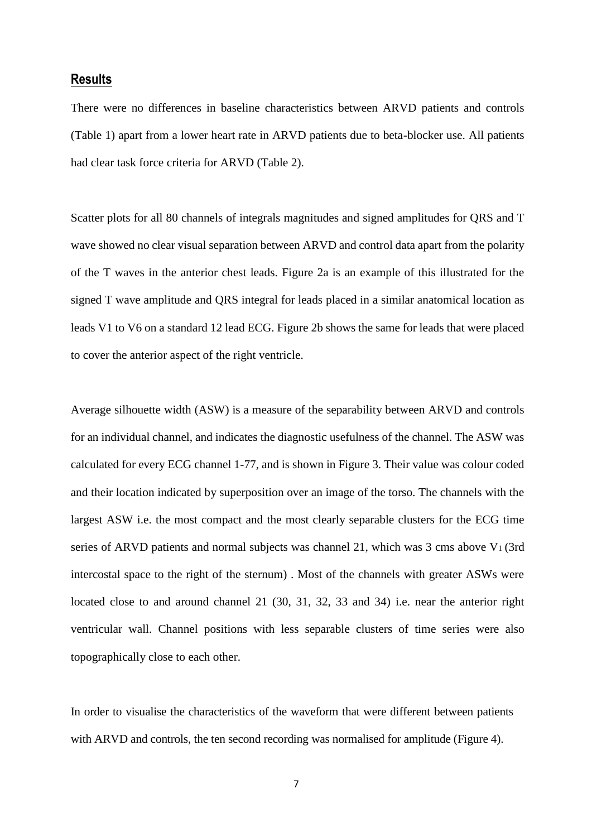#### **Results**

There were no differences in baseline characteristics between ARVD patients and controls (Table 1) apart from a lower heart rate in ARVD patients due to beta-blocker use. All patients had clear task force criteria for ARVD (Table 2).

Scatter plots for all 80 channels of integrals magnitudes and signed amplitudes for QRS and T wave showed no clear visual separation between ARVD and control data apart from the polarity of the T waves in the anterior chest leads. Figure 2a is an example of this illustrated for the signed T wave amplitude and QRS integral for leads placed in a similar anatomical location as leads V1 to V6 on a standard 12 lead ECG. Figure 2b shows the same for leads that were placed to cover the anterior aspect of the right ventricle.

Average silhouette width (ASW) is a measure of the separability between ARVD and controls for an individual channel, and indicates the diagnostic usefulness of the channel. The ASW was calculated for every ECG channel 1-77, and is shown in Figure 3. Their value was colour coded and their location indicated by superposition over an image of the torso. The channels with the largest ASW i.e. the most compact and the most clearly separable clusters for the ECG time series of ARVD patients and normal subjects was channel 21, which was 3 cms above V<sub>1</sub> (3rd intercostal space to the right of the sternum) . Most of the channels with greater ASWs were located close to and around channel 21 (30, 31, 32, 33 and 34) i.e. near the anterior right ventricular wall. Channel positions with less separable clusters of time series were also topographically close to each other.

In order to visualise the characteristics of the waveform that were different between patients with ARVD and controls, the ten second recording was normalised for amplitude (Figure 4).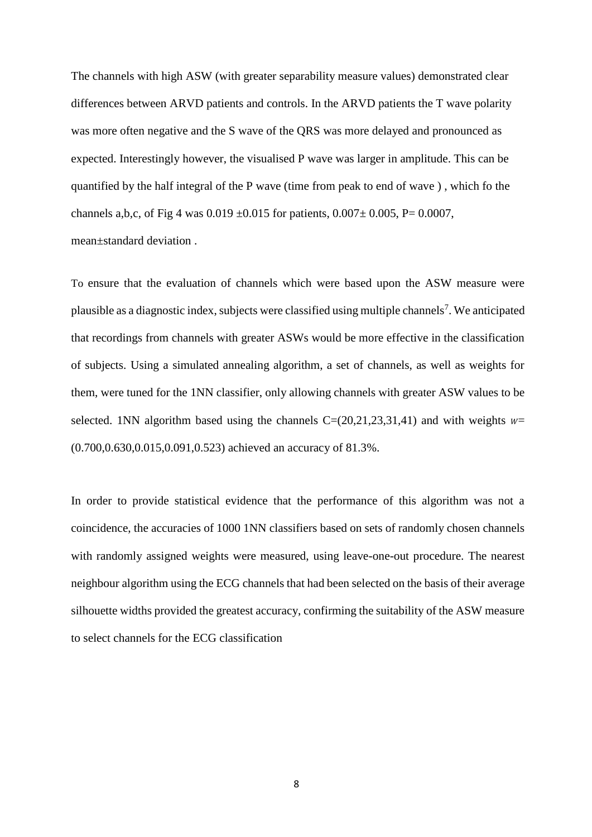The channels with high ASW (with greater separability measure values) demonstrated clear differences between ARVD patients and controls. In the ARVD patients the T wave polarity was more often negative and the S wave of the QRS was more delayed and pronounced as expected. Interestingly however, the visualised P wave was larger in amplitude. This can be quantified by the half integral of the P wave (time from peak to end of wave ) , which fo the channels a,b,c, of Fig 4 was  $0.019 \pm 0.015$  for patients,  $0.007 \pm 0.005$ , P= 0.0007, mean±standard deviation .

To ensure that the evaluation of channels which were based upon the ASW measure were plausible as a diagnostic index, subjects were classified using multiple channels<sup>7</sup>. We anticipated that recordings from channels with greater ASWs would be more effective in the classification of subjects. Using a simulated annealing algorithm, a set of channels, as well as weights for them, were tuned for the 1NN classifier, only allowing channels with greater ASW values to be selected. 1NN algorithm based using the channels  $C=(20,21,23,31,41)$  and with weights  $w=$ (0.700,0.630,0.015,0.091,0.523) achieved an accuracy of 81.3%.

In order to provide statistical evidence that the performance of this algorithm was not a coincidence, the accuracies of 1000 1NN classifiers based on sets of randomly chosen channels with randomly assigned weights were measured, using leave-one-out procedure. The nearest neighbour algorithm using the ECG channels that had been selected on the basis of their average silhouette widths provided the greatest accuracy, confirming the suitability of the ASW measure to select channels for the ECG classification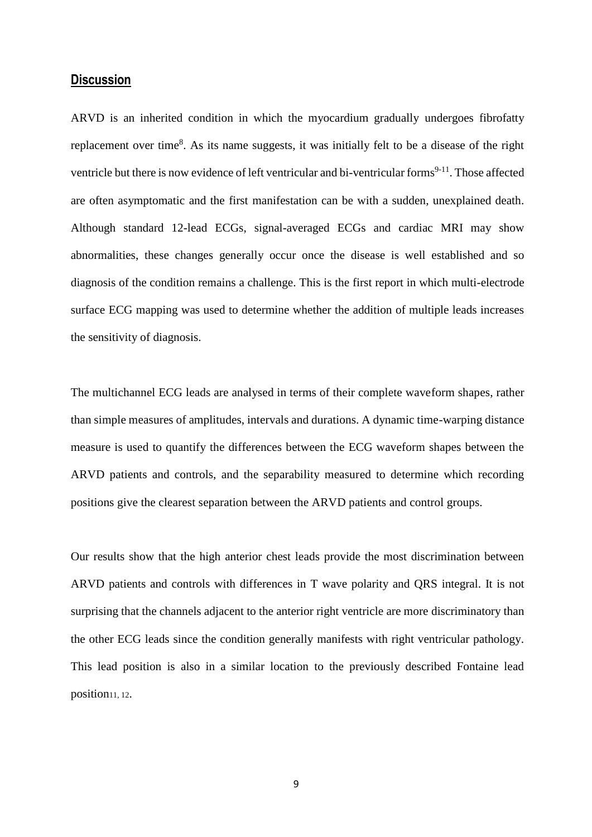#### **Discussion**

ARVD is an inherited condition in which the myocardium gradually undergoes fibrofatty replacement over time<sup>8</sup>. As its name suggests, it was initially felt to be a disease of the right ventricle but there is now evidence of left ventricular and bi-ventricular forms<sup>9-11</sup>. Those affected are often asymptomatic and the first manifestation can be with a sudden, unexplained death. Although standard 12-lead ECGs, signal-averaged ECGs and cardiac MRI may show abnormalities, these changes generally occur once the disease is well established and so diagnosis of the condition remains a challenge. This is the first report in which multi-electrode surface ECG mapping was used to determine whether the addition of multiple leads increases the sensitivity of diagnosis.

The multichannel ECG leads are analysed in terms of their complete waveform shapes, rather than simple measures of amplitudes, intervals and durations. A dynamic time-warping distance measure is used to quantify the differences between the ECG waveform shapes between the ARVD patients and controls, and the separability measured to determine which recording positions give the clearest separation between the ARVD patients and control groups.

Our results show that the high anterior chest leads provide the most discrimination between ARVD patients and controls with differences in T wave polarity and QRS integral. It is not surprising that the channels adjacent to the anterior right ventricle are more discriminatory than the other ECG leads since the condition generally manifests with right ventricular pathology. This lead position is also in a similar location to the previously described Fontaine lead position<sub>11</sub>, 12.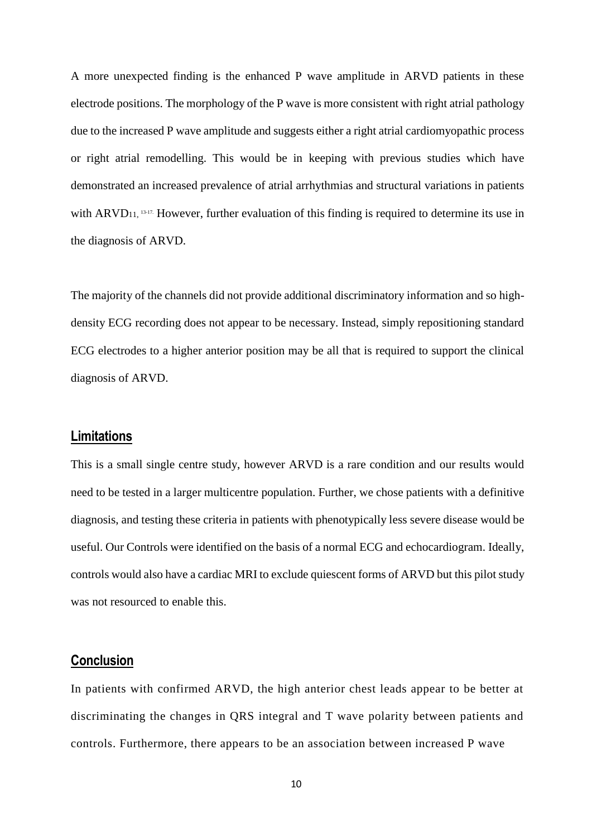A more unexpected finding is the enhanced P wave amplitude in ARVD patients in these electrode positions. The morphology of the P wave is more consistent with right atrial pathology due to the increased P wave amplitude and suggests either a right atrial cardiomyopathic process or right atrial remodelling. This would be in keeping with previous studies which have demonstrated an increased prevalence of atrial arrhythmias and structural variations in patients with ARVD<sub>11, 13-17</sub>. However, further evaluation of this finding is required to determine its use in the diagnosis of ARVD.

The majority of the channels did not provide additional discriminatory information and so highdensity ECG recording does not appear to be necessary. Instead, simply repositioning standard ECG electrodes to a higher anterior position may be all that is required to support the clinical diagnosis of ARVD.

#### **Limitations**

This is a small single centre study, however ARVD is a rare condition and our results would need to be tested in a larger multicentre population. Further, we chose patients with a definitive diagnosis, and testing these criteria in patients with phenotypically less severe disease would be useful. Our Controls were identified on the basis of a normal ECG and echocardiogram. Ideally, controls would also have a cardiac MRI to exclude quiescent forms of ARVD but this pilot study was not resourced to enable this.

#### **Conclusion**

In patients with confirmed ARVD, the high anterior chest leads appear to be better at discriminating the changes in QRS integral and T wave polarity between patients and controls. Furthermore, there appears to be an association between increased P wave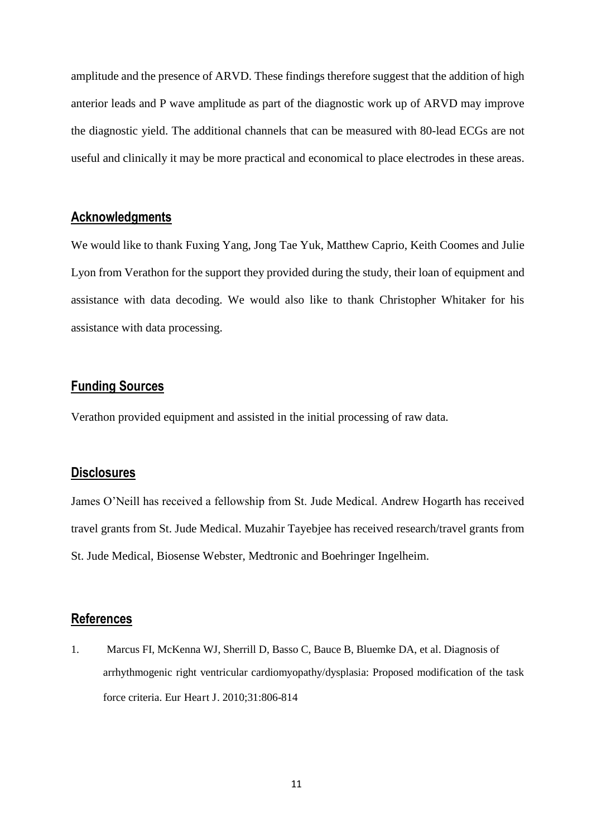amplitude and the presence of ARVD. These findings therefore suggest that the addition of high anterior leads and P wave amplitude as part of the diagnostic work up of ARVD may improve the diagnostic yield. The additional channels that can be measured with 80-lead ECGs are not useful and clinically it may be more practical and economical to place electrodes in these areas.

#### **Acknowledgments**

We would like to thank Fuxing Yang, Jong Tae Yuk, Matthew Caprio, Keith Coomes and Julie Lyon from Verathon for the support they provided during the study, their loan of equipment and assistance with data decoding. We would also like to thank Christopher Whitaker for his assistance with data processing.

#### **Funding Sources**

Verathon provided equipment and assisted in the initial processing of raw data.

#### **Disclosures**

James O'Neill has received a fellowship from St. Jude Medical. Andrew Hogarth has received travel grants from St. Jude Medical. Muzahir Tayebjee has received research/travel grants from St. Jude Medical, Biosense Webster, Medtronic and Boehringer Ingelheim.

#### **References**

1. Marcus FI, McKenna WJ, Sherrill D, Basso C, Bauce B, Bluemke DA, et al. Diagnosis of arrhythmogenic right ventricular cardiomyopathy/dysplasia: Proposed modification of the task force criteria. Eur Heart J. 2010;31:806-814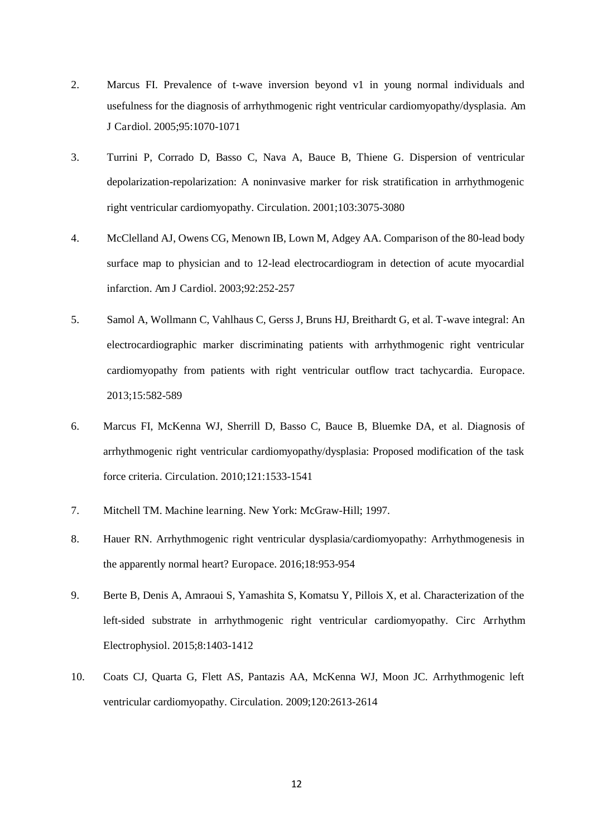- 2. Marcus FI. Prevalence of t-wave inversion beyond v1 in young normal individuals and usefulness for the diagnosis of arrhythmogenic right ventricular cardiomyopathy/dysplasia. Am J Cardiol. 2005;95:1070-1071
- 3. Turrini P, Corrado D, Basso C, Nava A, Bauce B, Thiene G. Dispersion of ventricular depolarization-repolarization: A noninvasive marker for risk stratification in arrhythmogenic right ventricular cardiomyopathy. Circulation. 2001;103:3075-3080
- 4. McClelland AJ, Owens CG, Menown IB, Lown M, Adgey AA. Comparison of the 80-lead body surface map to physician and to 12-lead electrocardiogram in detection of acute myocardial infarction. Am J Cardiol. 2003;92:252-257
- 5. Samol A, Wollmann C, Vahlhaus C, Gerss J, Bruns HJ, Breithardt G, et al. T-wave integral: An electrocardiographic marker discriminating patients with arrhythmogenic right ventricular cardiomyopathy from patients with right ventricular outflow tract tachycardia. Europace. 2013;15:582-589
- 6. Marcus FI, McKenna WJ, Sherrill D, Basso C, Bauce B, Bluemke DA, et al. Diagnosis of arrhythmogenic right ventricular cardiomyopathy/dysplasia: Proposed modification of the task force criteria. Circulation. 2010;121:1533-1541
- 7. Mitchell TM. Machine learning. New York: McGraw-Hill; 1997.
- 8. Hauer RN. Arrhythmogenic right ventricular dysplasia/cardiomyopathy: Arrhythmogenesis in the apparently normal heart? Europace. 2016;18:953-954
- 9. Berte B, Denis A, Amraoui S, Yamashita S, Komatsu Y, Pillois X, et al. Characterization of the left-sided substrate in arrhythmogenic right ventricular cardiomyopathy. Circ Arrhythm Electrophysiol. 2015;8:1403-1412
- 10. Coats CJ, Quarta G, Flett AS, Pantazis AA, McKenna WJ, Moon JC. Arrhythmogenic left ventricular cardiomyopathy. Circulation. 2009;120:2613-2614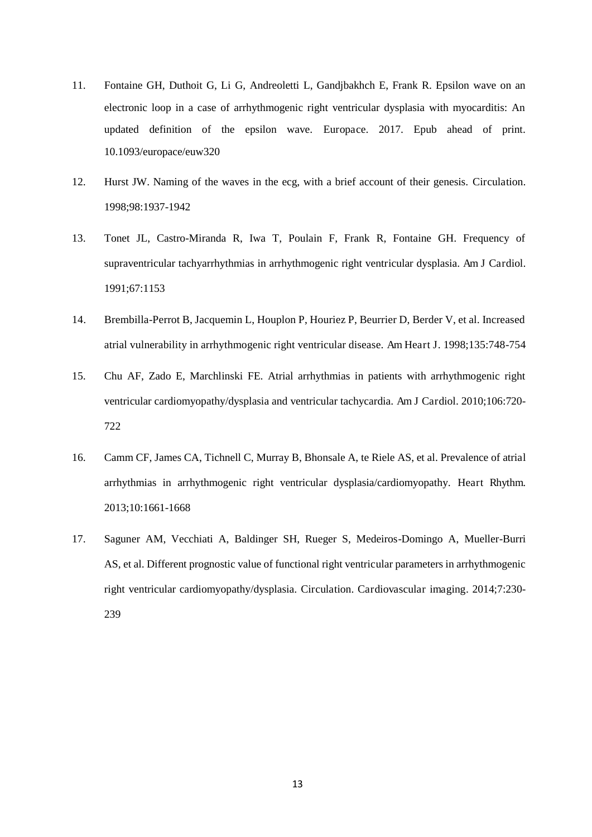- 11. Fontaine GH, Duthoit G, Li G, Andreoletti L, Gandjbakhch E, Frank R. Epsilon wave on an electronic loop in a case of arrhythmogenic right ventricular dysplasia with myocarditis: An updated definition of the epsilon wave. Europace. 2017. Epub ahead of print. 10.1093/europace/euw320
- 12. Hurst JW. Naming of the waves in the ecg, with a brief account of their genesis. Circulation. 1998;98:1937-1942
- 13. Tonet JL, Castro-Miranda R, Iwa T, Poulain F, Frank R, Fontaine GH. Frequency of supraventricular tachyarrhythmias in arrhythmogenic right ventricular dysplasia. Am J Cardiol. 1991;67:1153
- 14. Brembilla-Perrot B, Jacquemin L, Houplon P, Houriez P, Beurrier D, Berder V, et al. Increased atrial vulnerability in arrhythmogenic right ventricular disease. Am Heart J. 1998;135:748-754
- 15. Chu AF, Zado E, Marchlinski FE. Atrial arrhythmias in patients with arrhythmogenic right ventricular cardiomyopathy/dysplasia and ventricular tachycardia. Am J Cardiol. 2010;106:720- 722
- 16. Camm CF, James CA, Tichnell C, Murray B, Bhonsale A, te Riele AS, et al. Prevalence of atrial arrhythmias in arrhythmogenic right ventricular dysplasia/cardiomyopathy. Heart Rhythm. 2013;10:1661-1668
- 17. Saguner AM, Vecchiati A, Baldinger SH, Rueger S, Medeiros-Domingo A, Mueller-Burri AS, et al. Different prognostic value of functional right ventricular parameters in arrhythmogenic right ventricular cardiomyopathy/dysplasia. Circulation. Cardiovascular imaging. 2014;7:230- 239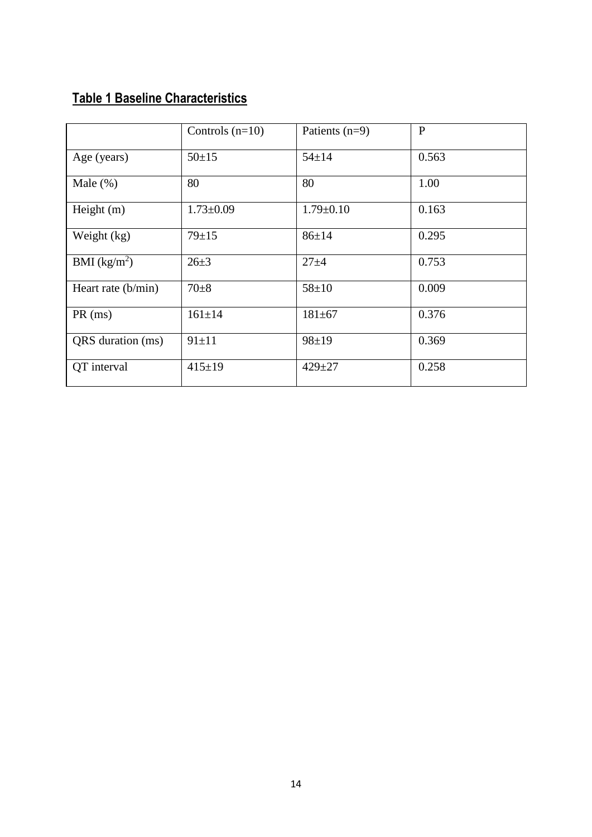# **Table 1 Baseline Characteristics**

|                          | Controls $(n=10)$ | Patients $(n=9)$ | P     |
|--------------------------|-------------------|------------------|-------|
| Age (years)              | $50+15$           | $54 \pm 14$      | 0.563 |
| Male $(\%)$              | 80                | 80               | 1.00  |
| Height $(m)$             | $1.73 \pm 0.09$   | $1.79 \pm 0.10$  | 0.163 |
| Weight (kg)              | $79 \pm 15$       | $86 \pm 14$      | 0.295 |
| BMI (kg/m <sup>2</sup> ) | $26 + 3$          | $27 + 4$         | 0.753 |
| Heart rate (b/min)       | $70 + 8$          | $58 + 10$        | 0.009 |
| $PR$ (ms)                | $161 \pm 14$      | $181 + 67$       | 0.376 |
| QRS duration (ms)        | $91 \pm 11$       | $98 \pm 19$      | 0.369 |
| QT interval              | $415 \pm 19$      | $429 + 27$       | 0.258 |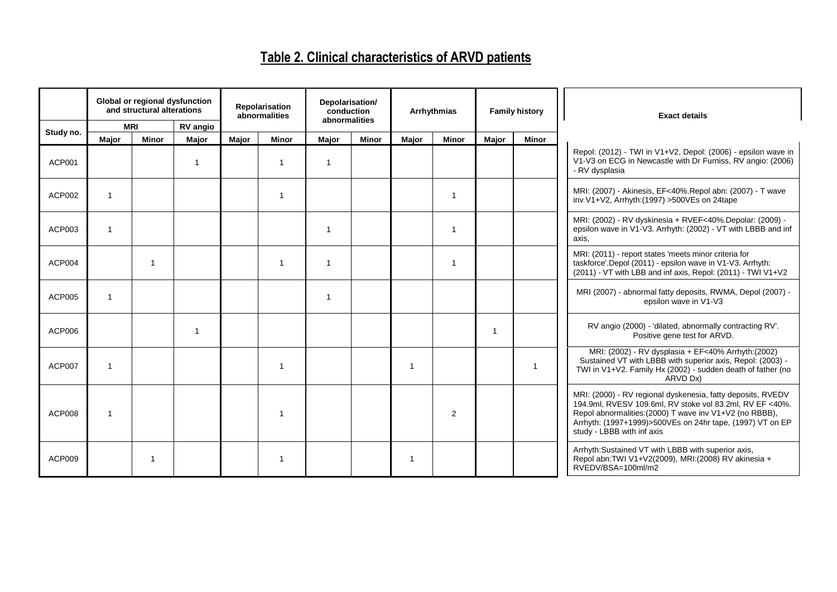## **Table 2. Clinical characteristics of ARVD patients**

|               | Global or regional dysfunction<br>and structural alterations |                | Repolarisation<br>abnormalities  |       | Depolarisation/<br>conduction<br>abnormalities | Arrhythmias        |              | <b>Family history</b> |                | <b>Exact details</b> |              |                                                                                                                                                                                                                                                                               |
|---------------|--------------------------------------------------------------|----------------|----------------------------------|-------|------------------------------------------------|--------------------|--------------|-----------------------|----------------|----------------------|--------------|-------------------------------------------------------------------------------------------------------------------------------------------------------------------------------------------------------------------------------------------------------------------------------|
| Study no.     | <b>MRI</b>                                                   | <b>Minor</b>   | <b>RV</b> angio                  |       | <b>Minor</b>                                   |                    | <b>Minor</b> |                       |                |                      |              |                                                                                                                                                                                                                                                                               |
| <b>ACP001</b> | Major                                                        |                | Major<br>$\overline{\mathbf{1}}$ | Major | -1                                             | <b>Major</b><br>-1 |              | Major                 | <b>Minor</b>   | Major                | <b>Minor</b> | Repol: (2012) - TWI in V1+V2, Depol: (2006) - epsilon wave in<br>V1-V3 on ECG in Newcastle with Dr Furniss, RV angio: (2006)<br>- RV dysplasia                                                                                                                                |
| ACP002        | $\overline{1}$                                               |                |                                  |       | 1                                              |                    |              |                       | $\overline{1}$ |                      |              | MRI: (2007) - Akinesis, EF<40%.Repol abn: (2007) - T wave<br>inv V1+V2, Arrhyth: (1997) > 500VEs on 24tape                                                                                                                                                                    |
| ACP003        | $\overline{\mathbf{1}}$                                      |                |                                  |       |                                                |                    |              |                       | $\overline{1}$ |                      |              | MRI: (2002) - RV dyskinesia + RVEF<40%. Depolar: (2009) -<br>epsilon wave in V1-V3. Arrhyth: (2002) - VT with LBBB and inf<br>axis.                                                                                                                                           |
| ACP004        |                                                              | $\overline{1}$ |                                  |       | 1                                              |                    |              |                       | $\overline{1}$ |                      |              | MRI: (2011) - report states 'meets minor criteria for<br>taskforce'.Depol (2011) - epsilon wave in V1-V3. Arrhyth:<br>(2011) - VT with LBB and inf axis, Repol: (2011) - TWI V1+V2                                                                                            |
| ACP005        | $\overline{\mathbf{1}}$                                      |                |                                  |       |                                                |                    |              |                       |                |                      |              | MRI (2007) - abnormal fatty deposits, RWMA, Depol (2007) -<br>epsilon wave in V1-V3                                                                                                                                                                                           |
| ACP006        |                                                              |                | $\overline{\mathbf{1}}$          |       |                                                |                    |              |                       |                | -1                   |              | RV angio (2000) - 'dilated, abnormally contracting RV'.<br>Positive gene test for ARVD.                                                                                                                                                                                       |
| <b>ACP007</b> | $\overline{\mathbf{1}}$                                      |                |                                  |       | 1                                              |                    |              | 1                     |                |                      | $\mathbf{1}$ | MRI: (2002) - RV dysplasia + EF<40% Arrhyth: (2002)<br>Sustained VT with LBBB with superior axis, Repol. (2003) -<br>TWI in V1+V2. Family Hx (2002) - sudden death of father (no<br>ARVD Dx)                                                                                  |
| <b>ACP008</b> | $\overline{\phantom{a}}$                                     |                |                                  |       | $\overline{\mathbf{1}}$                        |                    |              |                       | 2              |                      |              | MRI: (2000) - RV regional dyskenesia, fatty deposits, RVEDV<br>194.9ml, RVESV 109.6ml, RV stoke vol 83.2ml, RV EF <40%.<br>Repol abnormalities: (2000) T wave inv V1+V2 (no RBBB),<br>Arrhyth: (1997+1999)>500VEs on 24hr tape, (1997) VT on EP<br>study - LBBB with inf axis |
| <b>ACP009</b> |                                                              | 1              |                                  |       | 1                                              |                    |              | 1                     |                |                      |              | Arrhyth: Sustained VT with LBBB with superior axis,<br>Repol abn:TWI V1+V2(2009), MRI:(2008) RV akinesia +<br>RVEDV/BSA=100ml/m2                                                                                                                                              |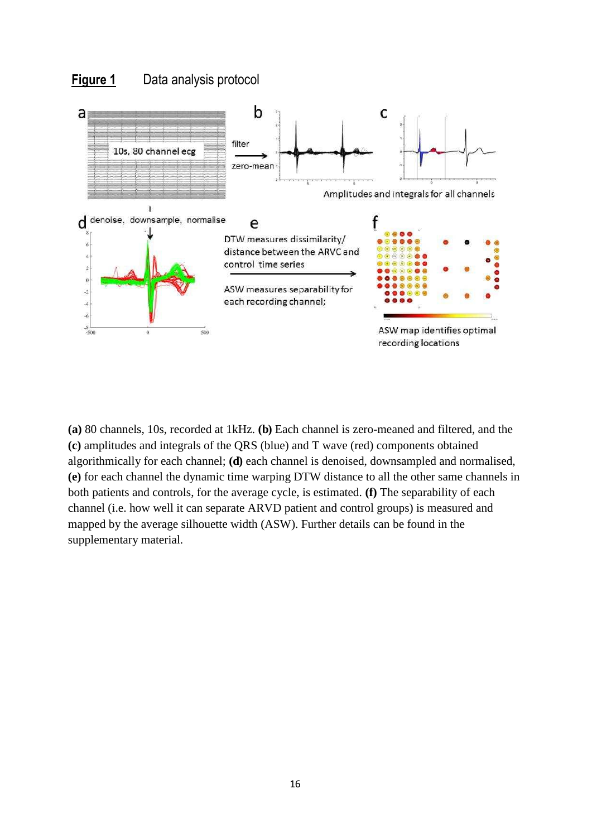### **Figure 1** Data analysis protocol



**(a)** 80 channels, 10s, recorded at 1kHz. **(b)** Each channel is zero-meaned and filtered, and the **(c)** amplitudes and integrals of the QRS (blue) and T wave (red) components obtained algorithmically for each channel; **(d)** each channel is denoised, downsampled and normalised, **(e)** for each channel the dynamic time warping DTW distance to all the other same channels in both patients and controls, for the average cycle, is estimated. **(f)** The separability of each channel (i.e. how well it can separate ARVD patient and control groups) is measured and mapped by the average silhouette width (ASW). Further details can be found in the supplementary material.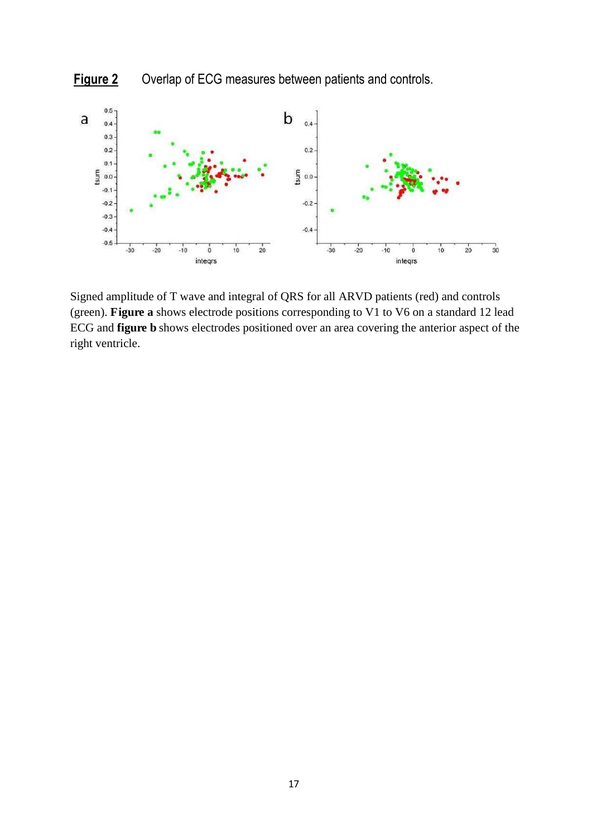



Signed amplitude of T wave and integral of QRS for all ARVD patients (red) and controls (green). **Figure a** shows electrode positions corresponding to V1 to V6 on a standard 12 lead ECG and **figure b** shows electrodes positioned over an area covering the anterior aspect of the right ventricle.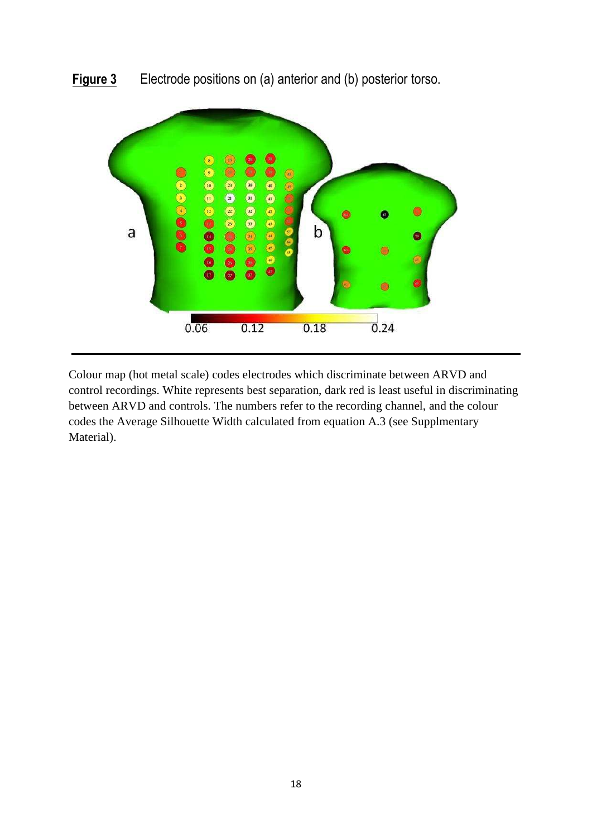

**Figure 3** Electrode positions on (a) anterior and (b) posterior torso.

Colour map (hot metal scale) codes electrodes which discriminate between ARVD and control recordings. White represents best separation, dark red is least useful in discriminating between ARVD and controls. The numbers refer to the recording channel, and the colour codes the Average Silhouette Width calculated from equation A.3 (see Supplmentary Material).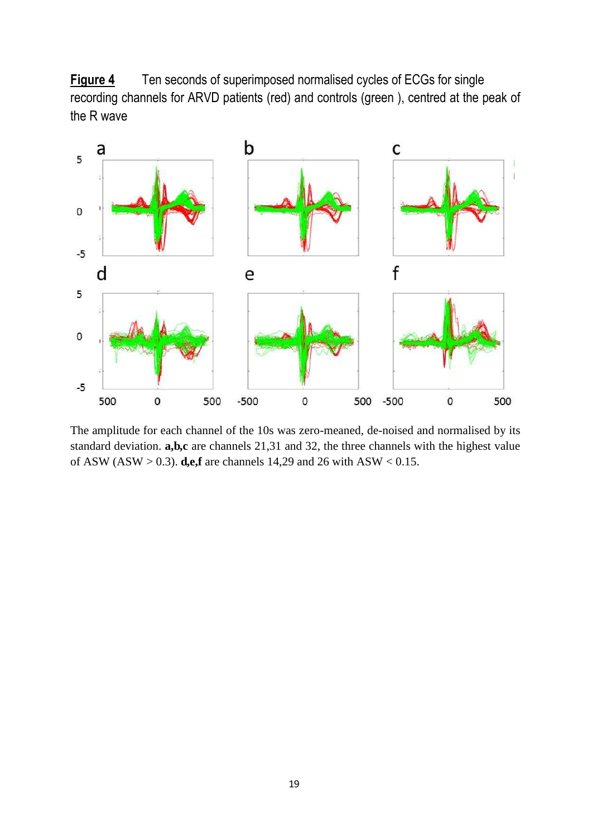**Figure 4** Ten seconds of superimposed normalised cycles of ECGs for single recording channels for ARVD patients (red) and controls (green ), centred at the peak of the R wave



The amplitude for each channel of the 10s was zero-meaned, de-noised and normalised by its standard deviation. **a,b,c** are channels 21,31 and 32, the three channels with the highest value of ASW (ASW > 0.3). **d,e,f** are channels 14,29 and 26 with ASW < 0.15.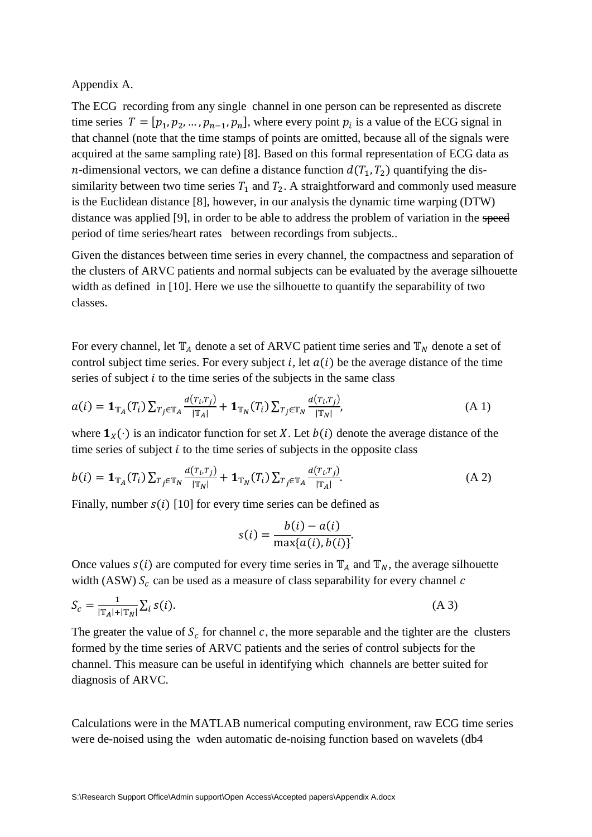Appendix A.

The ECG recording from any single channel in one person can be represented as discrete time series  $T = [p_1, p_2, ..., p_{n-1}, p_n]$ , where every point  $p_i$  is a value of the ECG signal in that channel (note that the time stamps of points are omitted, because all of the signals were acquired at the same sampling rate) [8]. Based on this formal representation of ECG data as *n*-dimensional vectors, we can define a distance function  $d(T_1, T_2)$  quantifying the dissimilarity between two time series  $T_1$  and  $T_2$ . A straightforward and commonly used measure is the Euclidean distance [8], however, in our analysis the dynamic time warping (DTW) distance was applied [9], in order to be able to address the problem of variation in the speed period of time series/heart rates between recordings from subjects..

Given the distances between time series in every channel, the compactness and separation of the clusters of ARVC patients and normal subjects can be evaluated by the average silhouette width as defined in [10]. Here we use the silhouette to quantify the separability of two classes.

For every channel, let  $\mathbb{T}_A$  denote a set of ARVC patient time series and  $\mathbb{T}_N$  denote a set of control subject time series. For every subject i, let  $a(i)$  be the average distance of the time series of subject  $i$  to the time series of the subjects in the same class

$$
a(i) = \mathbf{1}_{\mathbb{T}_A}(T_i) \sum_{T_j \in \mathbb{T}_A} \frac{d(T_i, T_j)}{|\mathbb{T}_A|} + \mathbf{1}_{\mathbb{T}_N}(T_i) \sum_{T_j \in \mathbb{T}_N} \frac{d(T_i, T_j)}{|\mathbb{T}_N|},
$$
\n(A1)

where  $\mathbf{1}_X(\cdot)$  is an indicator function for set X. Let  $b(i)$  denote the average distance of the time series of subject  $\dot{i}$  to the time series of subjects in the opposite class

$$
b(i) = \mathbf{1}_{\mathbb{T}_A}(T_i) \sum_{T_j \in \mathbb{T}_N} \frac{d(T_i, T_j)}{|\mathbb{T}_N|} + \mathbf{1}_{\mathbb{T}_N}(T_i) \sum_{T_j \in \mathbb{T}_A} \frac{d(T_i, T_j)}{|\mathbb{T}_A|}.
$$
 (A 2)

Finally, number  $s(i)$  [10] for every time series can be defined as

$$
s(i) = \frac{b(i) - a(i)}{\max\{a(i), b(i)\}}
$$

Once values  $s(i)$  are computed for every time series in  $\mathbb{T}_A$  and  $\mathbb{T}_N$ , the average silhouette width (ASW)  $S_c$  can be used as a measure of class separability for every channel  $c$ 

$$
S_c = \frac{1}{|\mathbb{T}_A| + |\mathbb{T}_N|} \sum_i s(i). \tag{A 3}
$$

The greater the value of  $S_c$  for channel c, the more separable and the tighter are the clusters formed by the time series of ARVC patients and the series of control subjects for the channel. This measure can be useful in identifying which channels are better suited for diagnosis of ARVC.

Calculations were in the MATLAB numerical computing environment, raw ECG time series were de-noised using the wden automatic de-noising function based on wavelets (db4